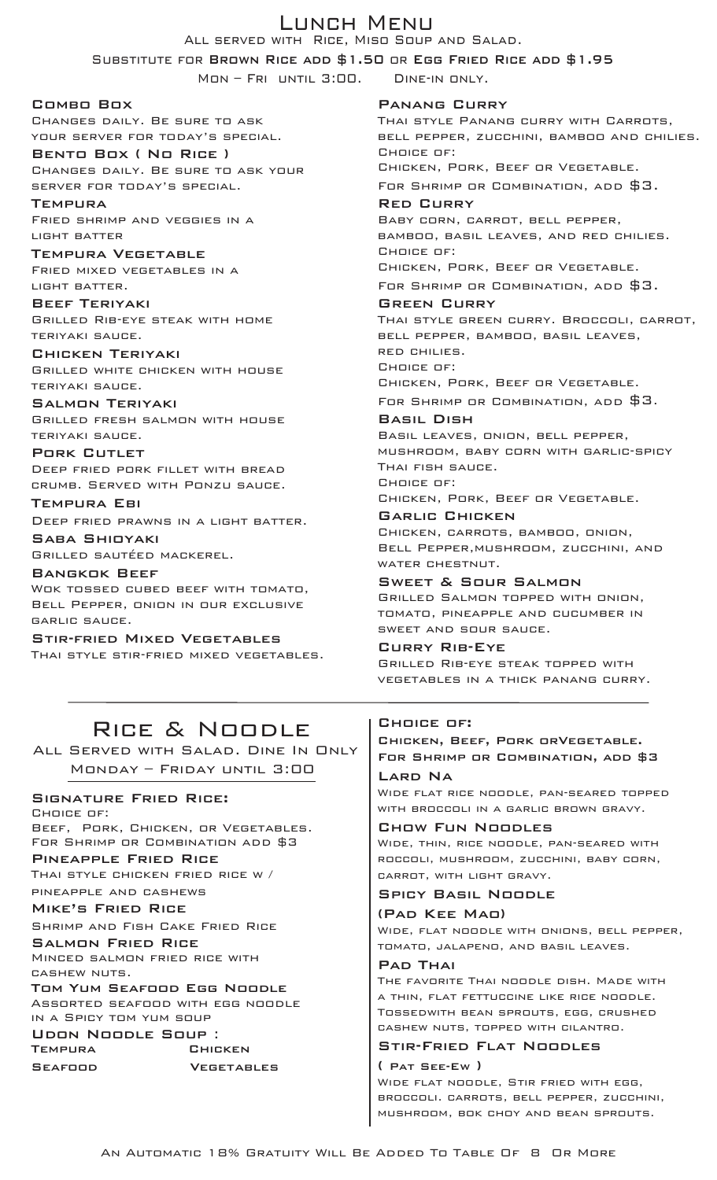## Lunch Menu

All served with Rice, Miso Soup and Salad.

Substitute for Brown Rice add \$1.50 or Egg Fried Rice add \$1.95

Mon – Fri until 3:00. Dine-in only.

Combo Box

Changes daily. Be sure to ask your server for today's special.

Bento Box ( No Rice ) Changes daily. Be sure to ask your server for today's special.

**TEMPURA** Fried shrimp and veggies in a light batter

Tempura Vegetable Fried mixed vegetables in a light batter.

Beef Teriyaki Grilled Rib-eye steak with home teriyaki sauce.

Chicken Teriyaki Grilled white chicken with house teriyaki sauce.

Salmon Teriyaki Grilled fresh salmon with house teriyaki sauce.

Pork Cutlet Deep fried pork fillet with bread crumb. Served with Ponzu sauce.

Tempura Ebi Deep fried prawns in a light batter. Saba Shioyaki

Grilled sautéed mackerel.

Bangkok Beef Wok tossed cubed beef with tomato, Bell Pepper, onion in our exclusive garlic sauce.

Stir-fried Mixed Vegetables Thai style stir-fried mixed vegetables.

Panang Curry THAI STYLE PANANG CURRY WITH CARROTS, bell pepper, zucchini, bamboo and chilies. Choice of: Chicken, Pork, Beef or Vegetable. For Shrimp or Combination, add \$3. Red Curry Baby corn, carrot, bell pepper, bamboo, basil leaves, and red chilies. Choice of: Chicken, Pork, Beef or Vegetable. For Shrimp or Combination, add \$3. Green Curry Thai style green curry. Broccoli, carrot, bell pepper, bamboo, basil leaves, red chilies. Choice of: Chicken, Pork, Beef or Vegetable. For Shrimp or Combination, add \$3. Basil Dish Basil leaves, onion, bell pepper, mushroom, baby corn with garlic-spicy Thai fish sauce. Choice of: Chicken, Pork, Beef or Vegetable. Garlic Chicken Chicken, carrots, bamboo, onion, Bell Pepper,mushroom, zucchini, and water chestnut. Sweet & Sour Salmon Grilled Salmon topped with onion,

tomato, pineapple and cucumber in sweet and sour sauce.

Curry Rib-Eye Grilled Rib-eye steak topped with vegetables in a thick panang curry.

# Rice & Noodle

All Served with Salad. Dine In Only Monday – Friday until 3:00

SIGNATURE FRIED RICE:

Choice of:

Beef, Pork, Chicken, or Vegetables. For Shrimp or Combination add \$3

Pineapple Fried Rice Thai style chicken fried rice w /

pineapple and cashews

Mike's Fried Rice

Shrimp and Fish Cake Fried Rice

Salmon Fried Rice Minced salmon fried rice with cashew nuts.

Tom Yum Seafood Egg Noodle Assorted seafood with egg noodle in a Spicy tom yum soup

UDON NOODLE SOUP :<br>TEMPURA CHICKEN

Seafood Vegetables

## Choice of:

Chicken, Beef, Pork orVegetable. For Shrimp or Combination, add \$3

Lard Na Wide flat rice noodle, pan-seared topped with broccoli in a garlic brown gravy.

Chow Fun Noodles Wide, thin, rice noodle, pan-seared with roccoli, mushroom, zucchini, baby corn, carrot, with light gravy.

## Spicy Basil Noodle

## (Pad Kee Mao)

Wide, flat noodle with onions, bell pepper, tomato, jalapeno, and basil leaves.

## PAD THAI

The favorite Thai noodle dish. Made with a thin, flat fettuccine like rice noodle. Tossedwith bean sprouts, egg, crushed cashew nuts, topped with cilantro.

## Stir-Fried Flat Noodles

( Pat See-Ew ) Wide flat noodle, Stir fried with egg, broccoli. carrots, bell pepper, zucchini, mushroom, bok choy and bean sprouts.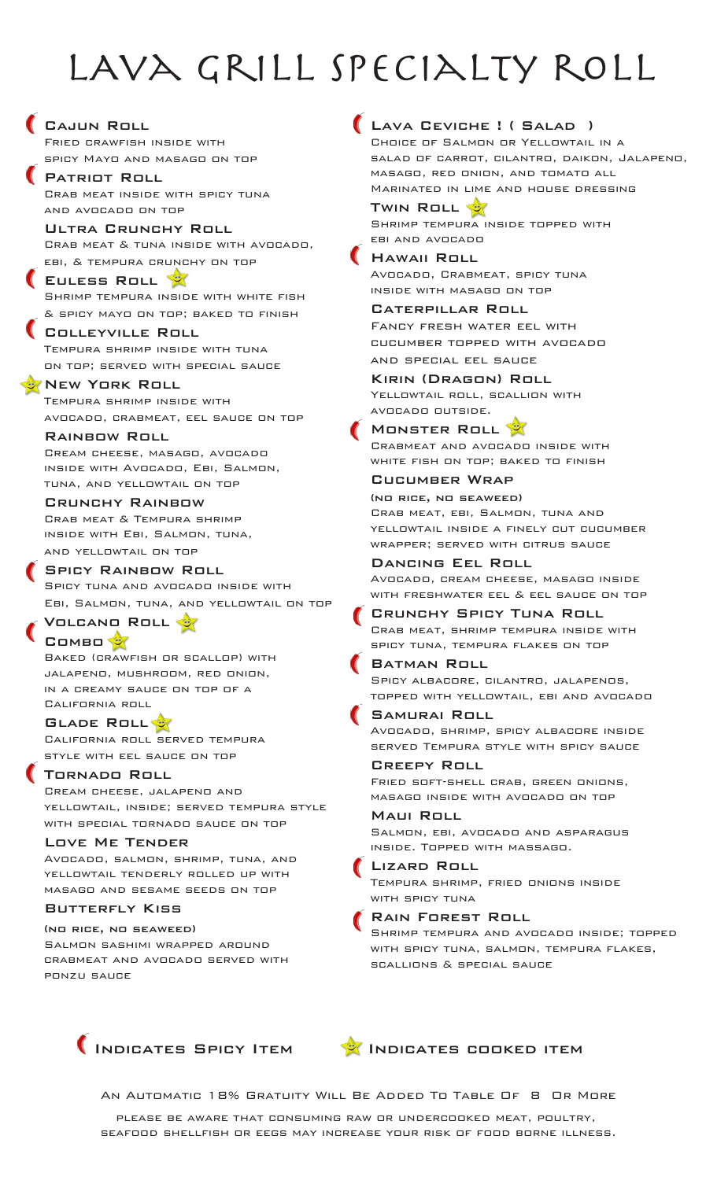# LAVA GRILL SPECIALTY ROLL

Lava Ceviche ! ( Salad )

Choice of Salmon or Yellowtail in a





Cajun Roll

COMBO

California roll

ponzu sauce

Fried crawfish inside with

An Automatic 18% Gratuity Will Be Added To Table Of 8 Or More

please be aware that consuming raw or undercooked meat, poultry, seafood shellfish or eegs may increase your risk of food borne illness.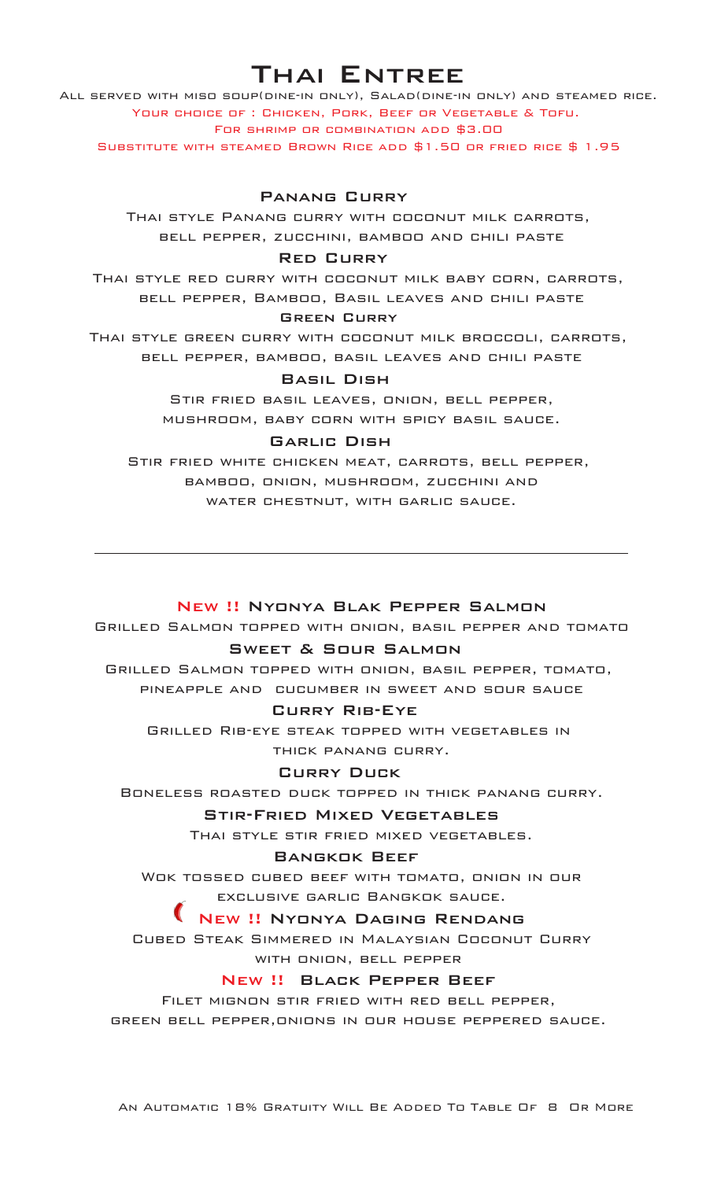# Thai Entree

All served with miso soup(dine-in only), Salad(dine-in only) and steamed rice. Your choice of : Chicken, Pork, Beef or Vegetable & Tofu. For shrimp or combination add \$3.00

Substitute with steamed Brown Rice add \$1.50 or fried rice \$ 1.95

## Panang Curry

Thai style Panang curry with coconut milk carrots, bell pepper, zucchini, bamboo and chili paste

## Red Curry

Thai style red curry with coconut milk baby corn, carrots, bell pepper, Bamboo, Basil leaves and chili paste

## Green Curry

Thai style green curry with coconut milk broccoli, carrots, bell pepper, bamboo, basil leaves and chili paste

## Basil Dish

Stir fried basil leaves, onion, bell pepper, mushroom, baby corn with spicy basil sauce.

#### Garlic Dish

Stir fried white chicken meat, carrots, bell pepper, bamboo, onion, mushroom, zucchini and water chestnut, with garlic sauce.

## New !! Nyonya Blak Pepper Salmon

Grilled Salmon topped with onion, basil pepper and tomato

## Sweet & Sour Salmon

Grilled Salmon topped with onion, basil pepper, tomato, pineapple and cucumber in sweet and sour sauce

#### Curry Rib-Eye

Grilled Rib-eye steak topped with vegetables in thick panang curry.

## Curry Duck

Boneless roasted duck topped in thick panang curry.

#### Stir-Fried Mixed Vegetables

Thai style stir fried mixed vegetables.

#### Bangkok Beef

Wok tossed cubed beef with tomato, onion in our exclusive garlic Bangkok sauce.

## New !! Nyonya Daging Rendang

Cubed Steak Simmered in Malaysian Coconut Curry with onion, bell pepper

## New !! Black Pepper Beef

Filet mignon stir fried with red bell pepper, green bell pepper,onions in our house peppered sauce.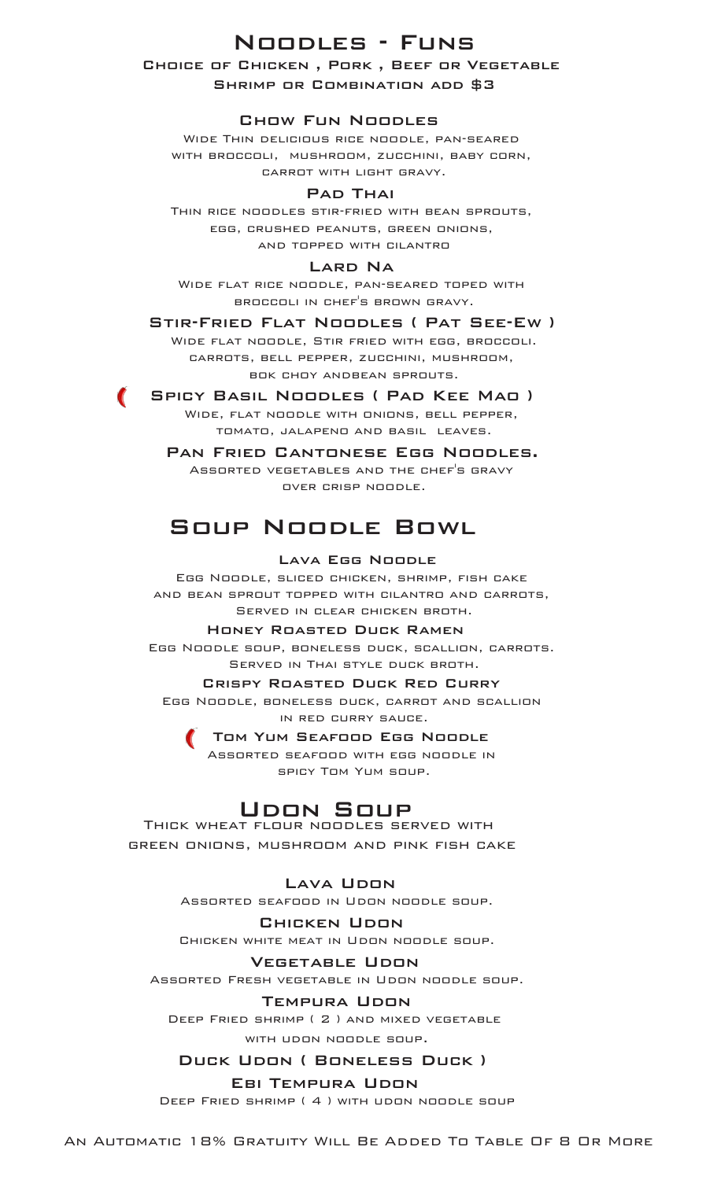## Noodles - Funs

## Choice of Chicken , Pork , Beef or Vegetable Shrimp or Combination add \$3

## Chow Fun Noodles

Wide Thin delicious rice noodle, pan-seared with broccoli, mushroom, zucchini, baby corn, carrot with light gravy.

## **PAD THAI**

Thin rice noodles stir-fried with bean sprouts, egg, crushed peanuts, green onions, and topped with cilantro

## **LARD NA**

Wide flat rice noodle, pan-seared toped with broccoli in chef's brown gravy.

Stir-Fried Flat Noodles ( Pat See-Ew )

Wide flat noodle, Stir fried with egg, broccoli. carrots, bell pepper, zucchini, mushroom, bok choy andbean sprouts.

**SPICY BASIL NOODLES ( PAD KEE MAO )** Wide, flat noodle with onions, bell pepper, tomato, jalapeno and basil leaves.

> Pan Fried Cantonese Egg Noodles. Assorted vegetables and the chef's gravy over crisp noodle.

# Soup Noodle Bowl

## Lava Egg Noodle

Egg Noodle, sliced chicken, shrimp, fish cake and bean sprout topped with cilantro and carrots, Served in clear chicken broth.

## Honey Roasted Duck Ramen

Egg Noodle soup, boneless duck, scallion, carrots. Served in Thai style duck broth.

#### Crispy Roasted Duck Red Curry

Egg Noodle, boneless duck, carrot and scallion in red curry sauce.

> Tom Yum Seafood Egg Noodle Assorted seafood with egg noodle in spicy Tom Yum soup.

## Udon Soup

Thick wheat flour noodles served with green onions, mushroom and pink fish cake

## **LAVA UDON**

Assorted seafood in Udon noodle soup.

#### Chicken Udon

Chicken white meat in Udon noodle soup.

#### Vegetable Udon

Assorted Fresh vegetable in Udon noodle soup.

#### Tempura Udon

Deep Fried shrimp ( 2 ) and mixed vegetable with udon noodle soup.

## Duck Udon ( Boneless Duck )

### Ebi Tempura Udon

Deep Fried shrimp ( 4 ) with udon noodle soup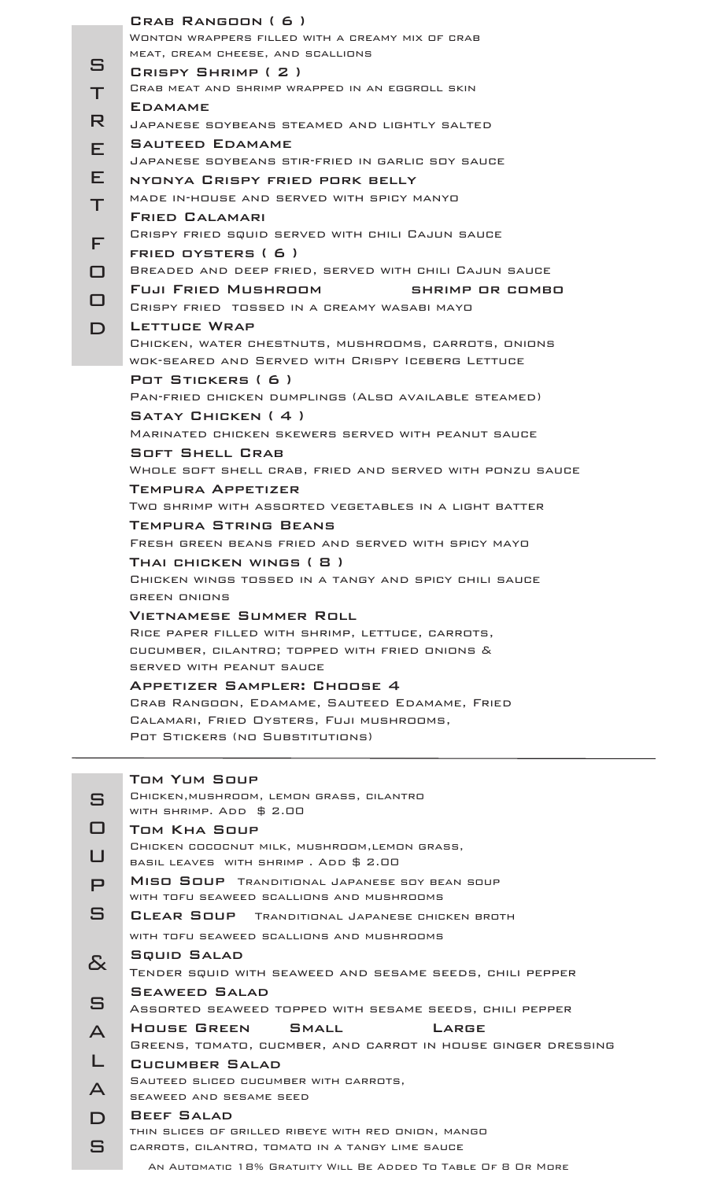| S<br>Τ<br>R<br>Е                      | CRAB RANGOON (6)<br>WONTON WRAPPERS FILLED WITH A CREAMY MIX OF CRAB<br>MEAT, CREAM CHEESE, AND SCALLIONS<br>CRISPY SHRIMP ( 2 )<br><b>CRAB MEAT AND SHRIMP WRAPPED IN AN EGGROLL SKIN</b><br><b>EDAMAME</b><br>JAPANESE SOYBEANS STEAMED AND LIGHTLY SALTED<br><b>SAUTEED EDAMAME</b><br>JAPANESE SOYBEANS STIR-FRIED IN GARLIC SOY SAUCE                                                                                                                                                                                                                                                                                                                                                                                                                                                                                                          |
|---------------------------------------|-----------------------------------------------------------------------------------------------------------------------------------------------------------------------------------------------------------------------------------------------------------------------------------------------------------------------------------------------------------------------------------------------------------------------------------------------------------------------------------------------------------------------------------------------------------------------------------------------------------------------------------------------------------------------------------------------------------------------------------------------------------------------------------------------------------------------------------------------------|
| Е<br>Τ<br>F<br>□<br>□<br>$\mathsf{D}$ | NYONYA CRISPY FRIED PORK BELLY<br>MADE IN-HOUSE AND SERVED WITH SPICY MANYO<br><b>FRIED CALAMARI</b><br>CRISPY FRIED SQUID SERVED WITH CHILI CAJUN SAUCE<br>FRIED OYSTERS (6)<br>BREADED AND DEEP FRIED, SERVED WITH CHILI CAJUN SAUCE<br>Fuji Fried Mushroom I<br>SHRIMP OR COMBO<br>CRISPY FRIED TOSSED IN A CREAMY WASABI MAYO<br>LETTUCE WRAP<br>CHICKEN, WATER CHESTNUTS, MUSHROOMS, CARROTS, ONIONS<br>WOK-SEARED AND SERVED WITH CRISPY ICEBERG LETTUCE                                                                                                                                                                                                                                                                                                                                                                                      |
|                                       | POT STICKERS (6)<br>PAN-FRIED CHICKEN DUMPLINGS (ALSO AVAILABLE STEAMED)<br>SATAY CHICKEN (4)<br>MARINATED CHICKEN SKEWERS SERVED WITH PEANUT SAUCE<br><b>SOFT SHELL CRAB</b><br>WHOLE SOFT SHELL CRAB, FRIED AND SERVED WITH PONZU SAUCE<br>TEMPURA APPETIZER<br>TWO SHRIMP WITH ASSORTED VEGETABLES IN A LIGHT BATTER<br>TEMPURA STRING BEANS<br>FRESH GREEN BEANS FRIED AND SERVED WITH SPICY MAYO<br>THAI CHICKEN WINGS ( 8 )<br>CHICKEN WINGS TOSSED IN A TANGY AND SPICY CHILI SAUCE<br><b>GREEN ONIONS</b><br><b>VIETNAMESE SUMMER ROLL</b><br>RICE PAPER FILLED WITH SHRIMP, LETTUCE, CARROTS,<br>CUCUMBER, CILANTRO; TOPPED WITH FRIED ONIONS &<br>SERVED WITH PEANUT SAUCE<br>APPETIZER SAMPLER: CHOOSE 4<br>CRAB RANGOON, EDAMAME, SAUTEED EDAMAME, FRIED<br>CALAMARI, FRIED OYSTERS, FUJI MUSHROOMS,<br>POT STICKERS (NO SUBSTITUTIONS) |
|                                       | <b>TOM YUM SOUP</b><br>CHICKEN, MUSHROOM, LEMON GRASS, CILANTRO                                                                                                                                                                                                                                                                                                                                                                                                                                                                                                                                                                                                                                                                                                                                                                                     |
| S                                     | WITH SHRIMP. ADD \$ 2.00                                                                                                                                                                                                                                                                                                                                                                                                                                                                                                                                                                                                                                                                                                                                                                                                                            |
| □                                     | TOM KHA SOUP<br>CHICKEN COCOCNUT MILK, MUSHROOM, LEMON GRASS,                                                                                                                                                                                                                                                                                                                                                                                                                                                                                                                                                                                                                                                                                                                                                                                       |
| $\cup$                                | BASIL LEAVES WITH SHRIMP. ADD \$ 2.00                                                                                                                                                                                                                                                                                                                                                                                                                                                                                                                                                                                                                                                                                                                                                                                                               |
| $\mathsf{P}$                          | MISO SOUP TRANDITIONAL JAPANESE SOY BEAN SOUP<br>WITH TOFU SEAWEED SCALLIONS AND MUSHROOMS                                                                                                                                                                                                                                                                                                                                                                                                                                                                                                                                                                                                                                                                                                                                                          |
| S                                     | CLEAR SOUP TRANDITIONAL JAPANESE CHICKEN BROTH                                                                                                                                                                                                                                                                                                                                                                                                                                                                                                                                                                                                                                                                                                                                                                                                      |
|                                       | WITH TOFU SEAWEED SCALLIONS AND MUSHROOMS                                                                                                                                                                                                                                                                                                                                                                                                                                                                                                                                                                                                                                                                                                                                                                                                           |
| <u>&amp;</u>                          | SQUID SALAD<br>TENDER SQUID WITH SEAWEED AND SESAME SEEDS, CHILI PEPPER                                                                                                                                                                                                                                                                                                                                                                                                                                                                                                                                                                                                                                                                                                                                                                             |
| $\mathbf{S}$                          | <b>SEAWEED SALAD</b><br>ASSORTED SEAWEED TOPPED WITH SESAME SEEDS, CHILI PEPPER                                                                                                                                                                                                                                                                                                                                                                                                                                                                                                                                                                                                                                                                                                                                                                     |
| $\blacktriangle$                      | HOUSE GREEN<br>SMALL<br>LARGE<br>GREENS, TOMATO, CUCMBER, AND CARROT IN HOUSE GINGER DRES                                                                                                                                                                                                                                                                                                                                                                                                                                                                                                                                                                                                                                                                                                                                                           |
|                                       | <b>CUCUMBER SALAD</b>                                                                                                                                                                                                                                                                                                                                                                                                                                                                                                                                                                                                                                                                                                                                                                                                                               |
| $\blacktriangle$                      | SAUTEED SLICED CUCUMBER WITH CARROTS,                                                                                                                                                                                                                                                                                                                                                                                                                                                                                                                                                                                                                                                                                                                                                                                                               |
| $\mathsf D$                           | SEAWEED AND SESAME SEED<br>BEEF SALAD                                                                                                                                                                                                                                                                                                                                                                                                                                                                                                                                                                                                                                                                                                                                                                                                               |
|                                       | THIN SLICES OF GRILLED RIBEYE WITH RED ONION, MANGO                                                                                                                                                                                                                                                                                                                                                                                                                                                                                                                                                                                                                                                                                                                                                                                                 |
| $\mathbf{S}$                          | CARROTS, CILANTRO, TOMATO IN A TANGY LIME SAUCE                                                                                                                                                                                                                                                                                                                                                                                                                                                                                                                                                                                                                                                                                                                                                                                                     |

|                         | TOM YUM SOUP                                                  |
|-------------------------|---------------------------------------------------------------|
| S                       | CHICKEN, MUSHROOM, LEMON GRASS, CILANTRO                      |
|                         | WITH SHRIMP. ADD \$ 2.00                                      |
| □                       | TOM KHA SOUP                                                  |
| $\sqcup$                | CHICKEN COCOCNUT MILK, MUSHROOM, LEMON GRASS,                 |
|                         | BASIL LEAVES WITH SHRIMP. ADD \$ 2.00                         |
| P                       | MISO SOUP TRANDITIONAL JAPANESE SOY BEAN SOUP                 |
|                         | WITH TOFU SEAWEED SCALLIONS AND MUSHROOMS                     |
| S                       | CLEAR SOUP TRANDITIONAL JAPANESE CHICKEN BROTH                |
|                         | WITH TOFU SEAWEED SCALLIONS AND MUSHROOMS                     |
| る                       | <b>SQUID SALAD</b>                                            |
|                         | TENDER SQUID WITH SEAWEED AND SESAME SEEDS, CHILI PEPPER      |
|                         | <b>SEAWEED SALAD</b>                                          |
| $\mathbf{S}$            | ASSORTED SEAWEED TOPPED WITH SESAME SEEDS, CHILI PEPPER       |
| $\overline{\mathsf{A}}$ | HOUSE GREEN<br>SMALL<br>LARGE                                 |
|                         | GREENS, TOMATO, CUCMBER, AND CARROT IN HOUSE GINGER DRESSING  |
| L                       | CUCUMBER SALAD                                                |
| $\blacktriangle$        | SAUTEED SLICED CUCUMBER WITH CARROTS,                         |
|                         | SEAWEED AND SESAME SEED                                       |
| D                       | <b>BEEF SALAD</b>                                             |
|                         | THIN SLICES OF GRILLED RIBEYE WITH RED ONION, MANGO           |
| S                       | CARROTS, CILANTRO, TOMATO IN A TANGY LIME SAUCE               |
|                         | AN AUTOMATIC 18% GRATUITY WILL BE ADDED TO TABLE OF 8 OR MORE |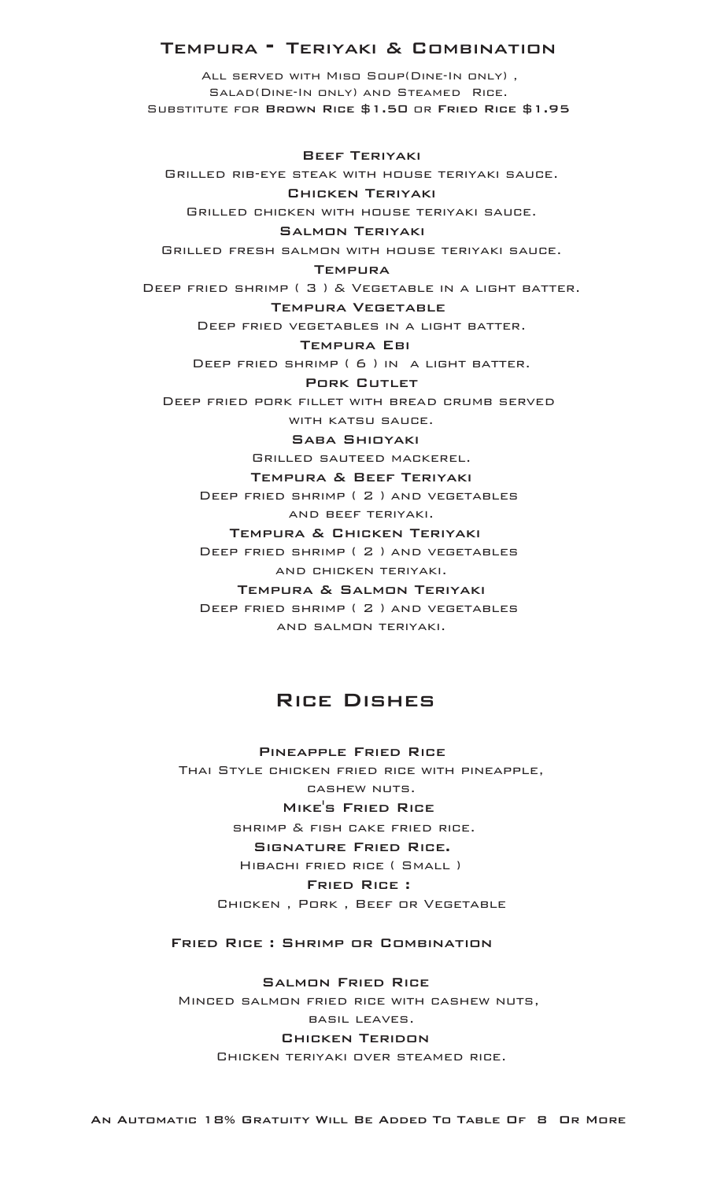## TEMPURA <sup>-</sup> TERIYAKI & COMBINATION

All served with Miso Soup(Dine-In only) , Salad(Dine-In only) and Steamed Rice. Substitute for Brown Rice \$1.50 or Fried Rice \$1.95

 Beef Teriyaki Grilled rib-eye steak with house teriyaki sauce. Chicken Teriyaki Grilled chicken with house teriyaki sauce. Salmon Teriyaki Grilled fresh salmon with house teriyaki sauce. **TEMPURA** Deep fried shrimp ( 3 ) & Vegetable in a light batter. Tempura Vegetable Deep fried vegetables in a light batter. Tempura Ebi Deep fried shrimp ( 6 ) in a light batter. PORK CUTLET Deep fried pork fillet with bread crumb served with katsu sauce. Saba Shioyaki Grilled sauteed mackerel. Tempura & Beef Teriyaki Deep fried shrimp ( 2 ) and vegetables and beef teriyaki. Tempura & Chicken Teriyaki Deep fried shrimp ( 2 ) and vegetables and chicken teriyaki. Tempura & Salmon Teriyaki

> Deep fried shrimp ( 2 ) and vegetables and salmon teriyaki.

## Rice Dishes

 Pineapple Fried Rice Thai Style chicken fried rice with pineapple, cashew nuts. Mike's Fried Rice shrimp & fish cake fried rice. Signature Fried Rice. Hibachi fried rice ( Small ) Fried Rice : Chicken , Pork , Beef or Vegetable

Fried Rice : Shrimp or Combination

 Salmon Fried Rice Minced salmon fried rice with cashew nuts, basil leaves. Chicken Teridon Chicken teriyaki over steamed rice.